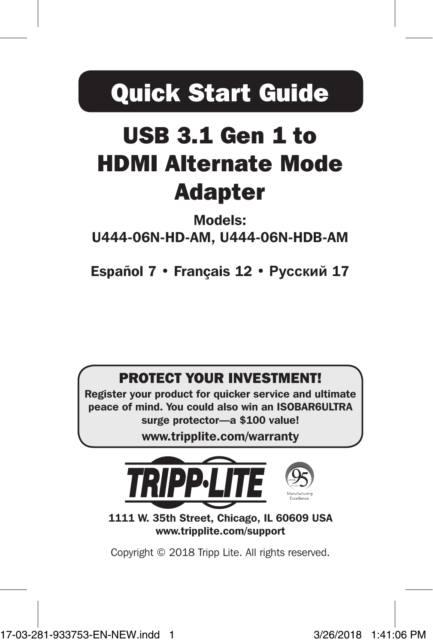# Quick Start Guide

# USB 3.1 Gen 1 to HDMI Alternate Mode Adapter

### Models: U444-06N-HD-AM, U444-06N-HDB-AM

Español 7 • Français 12 • **Русский** 17

### PROTECT YOUR INVESTMENT!

Register your product for quicker service and ultimate peace of mind. You could also win an ISOBAR6ULTRA surge protector—a \$100 value!

www.tripplite.com/warranty



1111 W. 35th Street, Chicago, IL 60609 USA www.tripplite.com/support

Copyright © 2018 Tripp Lite. All rights reserved.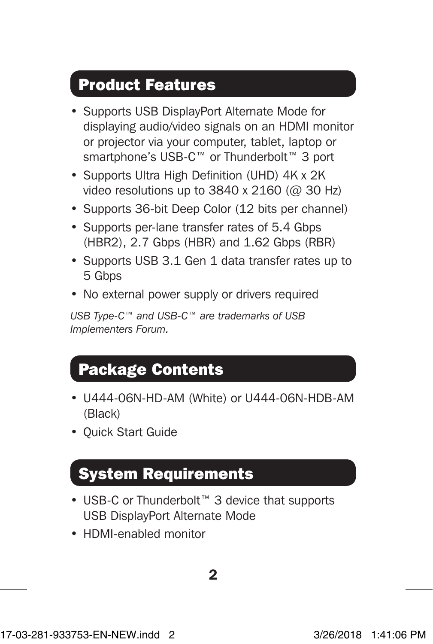## Product Features

- Supports USB DisplayPort Alternate Mode for displaying audio/video signals on an HDMI monitor or projector via your computer, tablet, laptop or smartphone's USB-C™ or Thunderbolt™ 3 port
- Supports Ultra High Definition (UHD) 4K x 2K video resolutions up to  $3840 \times 2160$  ( $\textcircled{a}$  30 Hz)
- Supports 36-bit Deep Color (12 bits per channel)
- Supports per-lane transfer rates of 5.4 Gbps (HBR2), 2.7 Gbps (HBR) and 1.62 Gbps (RBR)
- Supports USB 3.1 Gen 1 data transfer rates up to 5 Gbps
- No external power supply or drivers required

*USB Type-C™ and USB-C™ are trademarks of USB Implementers Forum.*

# Package Contents

- U444-06N-HD-AM (White) or U444-06N-HDB-AM (Black)
- Quick Start Guide

### System Requirements

- USB-C or Thunderbolt™ 3 device that supports USB DisplayPort Alternate Mode
- HDMI-enabled monitor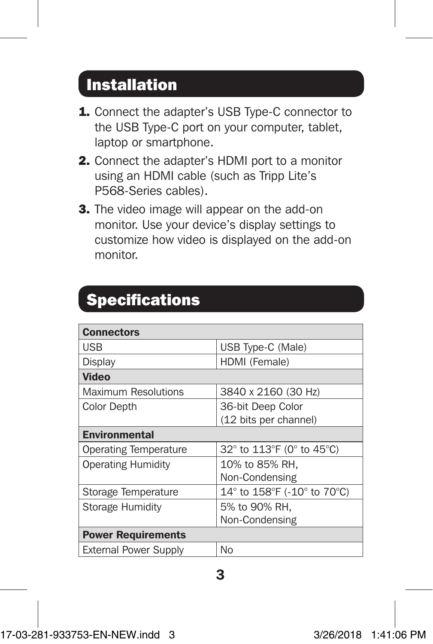## Installation

- 1. Connect the adapter's USB Type-C connector to the USB Type-C port on your computer, tablet, laptop or smartphone.
- 2. Connect the adapter's HDMI port to a monitor using an HDMI cable (such as Tripp Lite's P568-Series cables).
- **3.** The video image will appear on the add-on monitor. Use your device's display settings to customize how video is displayed on the add-on monitor.

| <b>Specifications</b> |
|-----------------------|
|-----------------------|

| <b>Connectors</b>            |                             |  |
|------------------------------|-----------------------------|--|
| USB                          | USB Type-C (Male)           |  |
| Display                      | HDMI (Female)               |  |
| Video                        |                             |  |
| Maximum Resolutions          | 3840 x 2160 (30 Hz)         |  |
| <b>Color Depth</b>           | 36-bit Deep Color           |  |
|                              | (12 bits per channel)       |  |
| Environmental                |                             |  |
| <b>Operating Temperature</b> | 32° to 113°F (0° to 45°C)   |  |
| <b>Operating Humidity</b>    | 10% to 85% RH.              |  |
|                              | Non-Condensing              |  |
| Storage Temperature          | 14° to 158°F (-10° to 70°C) |  |
| Storage Humidity             | 5% to 90% RH.               |  |
|                              | Non-Condensing              |  |
| <b>Power Requirements</b>    |                             |  |
| <b>External Power Supply</b> | No                          |  |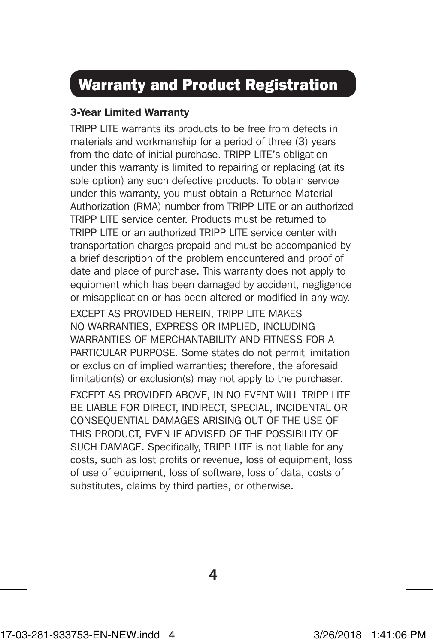# Warranty and Product Registration

#### 3-Year Limited Warranty

TRIPP LITE warrants its products to be free from defects in materials and workmanship for a period of three (3) years from the date of initial purchase. TRIPP LITE's obligation under this warranty is limited to repairing or replacing (at its sole option) any such defective products. To obtain service under this warranty, you must obtain a Returned Material Authorization (RMA) number from TRIPP LITE or an authorized TRIPP LITE service center. Products must be returned to TRIPP LITE or an authorized TRIPP LITE service center with transportation charges prepaid and must be accompanied by a brief description of the problem encountered and proof of date and place of purchase. This warranty does not apply to equipment which has been damaged by accident, negligence or misapplication or has been altered or modified in any way.

EXCEPT AS PROVIDED HEREIN, TRIPP LITE MAKES NO WARRANTIES, EXPRESS OR IMPLIED, INCLUDING WARRANTIES OF MERCHANTABILITY AND FITNESS FOR A PARTICULAR PURPOSE. Some states do not permit limitation or exclusion of implied warranties; therefore, the aforesaid limitation(s) or exclusion(s) may not apply to the purchaser.

EXCEPT AS PROVIDED ABOVE, IN NO EVENT WILL TRIPP LITE BE LIABLE FOR DIRECT, INDIRECT, SPECIAL, INCIDENTAL OR CONSEQUENTIAL DAMAGES ARISING OUT OF THE USE OF THIS PRODUCT, EVEN IF ADVISED OF THE POSSIBILITY OF SUCH DAMAGE. Specifically, TRIPP LITE is not liable for any costs, such as lost profits or revenue, loss of equipment, loss of use of equipment, loss of software, loss of data, costs of substitutes, claims by third parties, or otherwise.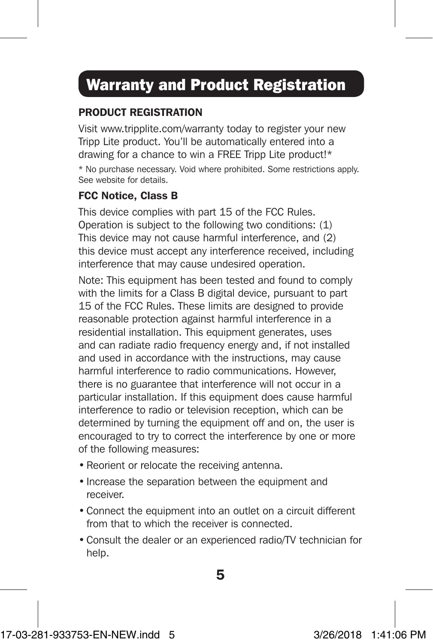# Warranty and Product Registration

#### PRODUCT REGISTRATION

Visit www.tripplite.com/warranty today to register your new Tripp Lite product. You'll be automatically entered into a drawing for a chance to win a FREE Tripp Lite product!\* \* No purchase necessary. Void where prohibited. Some restrictions apply. See website for details.

#### FCC Notice, Class B

This device complies with part 15 of the FCC Rules. Operation is subject to the following two conditions: (1) This device may not cause harmful interference, and (2) this device must accept any interference received, including interference that may cause undesired operation.

Note: This equipment has been tested and found to comply with the limits for a Class B digital device, pursuant to part 15 of the FCC Rules. These limits are designed to provide reasonable protection against harmful interference in a residential installation. This equipment generates, uses and can radiate radio frequency energy and, if not installed and used in accordance with the instructions, may cause harmful interference to radio communications. However, there is no guarantee that interference will not occur in a particular installation. If this equipment does cause harmful interference to radio or television reception, which can be determined by turning the equipment off and on, the user is encouraged to try to correct the interference by one or more of the following measures:

- Reorient or relocate the receiving antenna.
- Increase the separation between the equipment and receiver.
- Connect the equipment into an outlet on a circuit different from that to which the receiver is connected.
- Consult the dealer or an experienced radio/TV technician for help.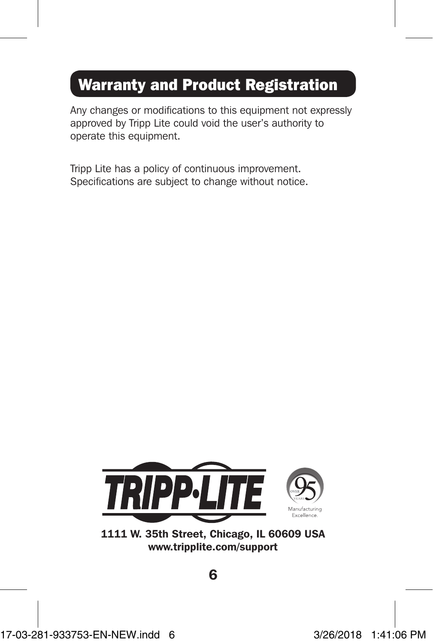# Warranty and Product Registration

Any changes or modifications to this equipment not expressly approved by Tripp Lite could void the user's authority to operate this equipment.

Tripp Lite has a policy of continuous improvement. Specifications are subject to change without notice.



<sup>1111</sup> W. 35th Street, Chicago, IL 60609 USA www.tripplite.com/support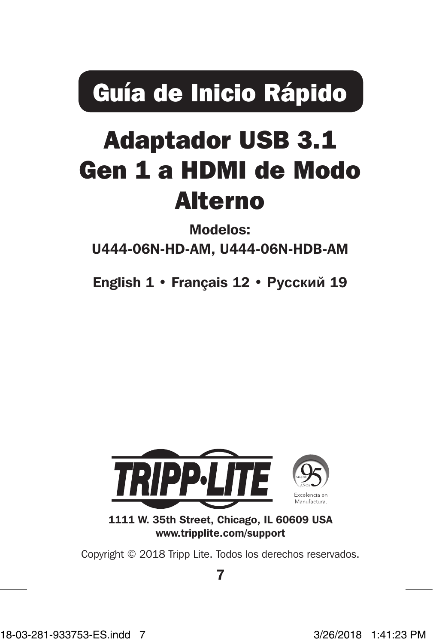Guía de Inicio Rápido

# Adaptador USB 3.1 Gen 1 a HDMI de Modo Alterno

Modelos:

U444-06N-HD-AM, U444-06N-HDB-AM

English 1 • Français 12 • **Русский** 19



1111 W. 35th Street, Chicago, IL 60609 USA www.tripplite.com/support

Copyright © 2018 Tripp Lite. Todos los derechos reservados.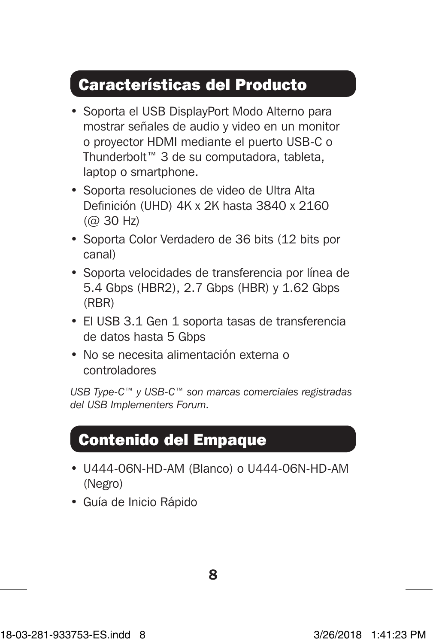### Características del Producto

- Soporta el USB DisplayPort Modo Alterno para mostrar señales de audio y video en un monitor o proyector HDMI mediante el puerto USB-C o Thunderbolt™ 3 de su computadora, tableta, laptop o smartphone.
- Soporta resoluciones de video de Ultra Alta Definición (UHD) 4K x 2K hasta 3840 x 2160 (@ 30 Hz)
- Soporta Color Verdadero de 36 bits (12 bits por canal)
- Soporta velocidades de transferencia por línea de 5.4 Gbps (HBR2), 2.7 Gbps (HBR) y 1.62 Gbps (RBR)
- El USB 3.1 Gen 1 soporta tasas de transferencia de datos hasta 5 Gbps
- No se necesita alimentación externa o controladores

*USB Type-C™ y USB-C™ son marcas comerciales registradas del USB Implementers Forum.*

### Contenido del Empaque

- U444-06N-HD-AM (Blanco) o U444-06N-HD-AM (Negro)
- Guía de Inicio Rápido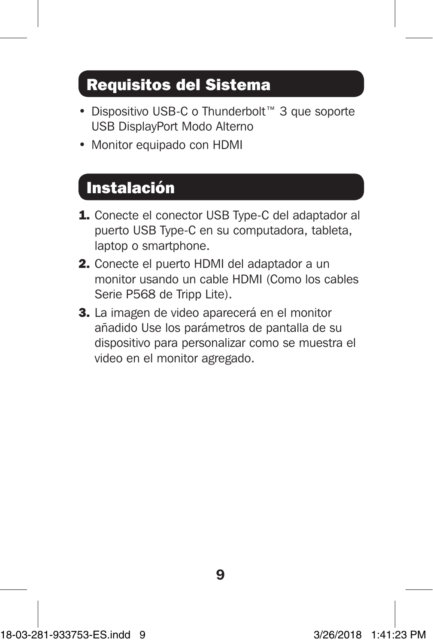# Requisitos del Sistema

- Dispositivo USB-C o Thunderbolt™ 3 que soporte USB DisplayPort Modo Alterno
- Monitor equipado con HDMI

### Instalación

- 1. Conecte el conector USB Type-C del adaptador al puerto USB Type-C en su computadora, tableta, laptop o smartphone.
- 2. Conecte el puerto HDMI del adaptador a un monitor usando un cable HDMI (Como los cables Serie P568 de Tripp Lite).
- 3. La imagen de video aparecerá en el monitor añadido Use los parámetros de pantalla de su dispositivo para personalizar como se muestra el video en el monitor agregado.

18-03-281-933753-ES.indd 9 3/26/2018 1:41:23 PM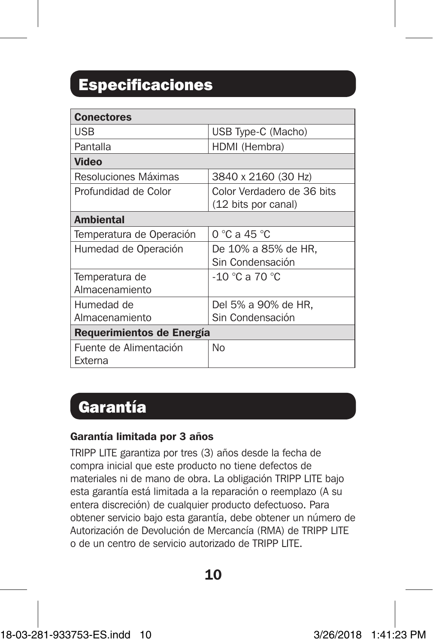# Especificaciones

| <b>Conectores</b>         |                                 |  |
|---------------------------|---------------------------------|--|
| USB                       | USB Type-C (Macho)              |  |
| Pantalla                  | HDMI (Hembra)                   |  |
| Video                     |                                 |  |
| Resoluciones Máximas      | 3840 x 2160 (30 Hz)             |  |
| Profundidad de Color      | Color Verdadero de 36 bits      |  |
|                           | (12 bits por canal)             |  |
| <b>Ambiental</b>          |                                 |  |
| Temperatura de Operación  | $0^{\circ}$ C a 45 $^{\circ}$ C |  |
| Humedad de Operación      | De 10% a 85% de HR.             |  |
|                           | Sin Condensación                |  |
| Temperatura de            | $-10$ °C a 70 °C                |  |
| Almacenamiento            |                                 |  |
| Humedad de                | Del 5% a 90% de HR,             |  |
| Almacenamiento            | Sin Condensación                |  |
| Requerimientos de Energía |                                 |  |
| Fuente de Alimentación    | No                              |  |
| Externa                   |                                 |  |

### Garantía

#### Garantía limitada por 3 años

TRIPP LITE garantiza por tres (3) años desde la fecha de compra inicial que este producto no tiene defectos de materiales ni de mano de obra. La obligación TRIPP LITE bajo esta garantía está limitada a la reparación o reemplazo (A su entera discreción) de cualquier producto defectuoso. Para obtener servicio bajo esta garantía, debe obtener un número de Autorización de Devolución de Mercancía (RMA) de TRIPP LITE o de un centro de servicio autorizado de TRIPP LITE.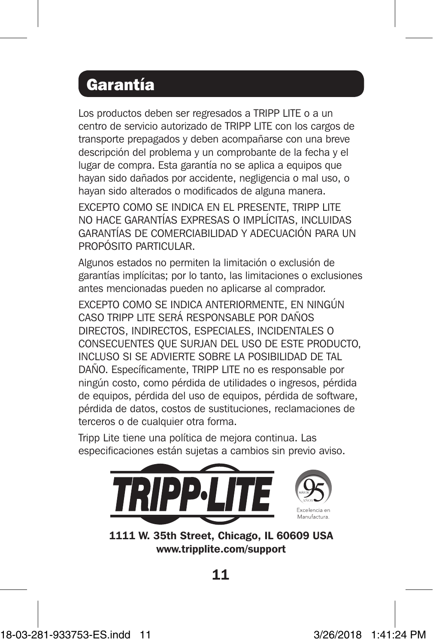## Garantía

Los productos deben ser regresados a TRIPP LITE o a un centro de servicio autorizado de TRIPP LITE con los cargos de transporte prepagados y deben acompañarse con una breve descripción del problema y un comprobante de la fecha y el lugar de compra. Esta garantía no se aplica a equipos que hayan sido dañados por accidente, negligencia o mal uso, o hayan sido alterados o modificados de alguna manera.

EXCEPTO COMO SE INDICA EN EL PRESENTE, TRIPP LITE NO HACE GARANTÍAS EXPRESAS O IMPLÍCITAS, INCLUIDAS GARANTÍAS DE COMERCIABILIDAD Y ADECUACIÓN PARA UN PROPÓSITO PARTICULAR

Algunos estados no permiten la limitación o exclusión de garantías implícitas; por lo tanto, las limitaciones o exclusiones antes mencionadas pueden no aplicarse al comprador.

EXCEPTO COMO SE INDICA ANTERIORMENTE, EN NINGÚN CASO TRIPP LITE SERÁ RESPONSABLE POR DAÑOS DIRECTOS, INDIRECTOS, ESPECIALES, INCIDENTALES O CONSECUENTES QUE SURJAN DEL USO DE ESTE PRODUCTO, INCLUSO SI SE ADVIERTE SOBRE LA POSIBILIDAD DE TAL DAÑO. Específicamente, TRIPP LITE no es responsable por ningún costo, como pérdida de utilidades o ingresos, pérdida de equipos, pérdida del uso de equipos, pérdida de software, pérdida de datos, costos de sustituciones, reclamaciones de terceros o de cualquier otra forma.

Tripp Lite tiene una política de mejora continua. Las especificaciones están sujetas a cambios sin previo aviso.



1111 W. 35th Street, Chicago, IL 60609 USA www.tripplite.com/support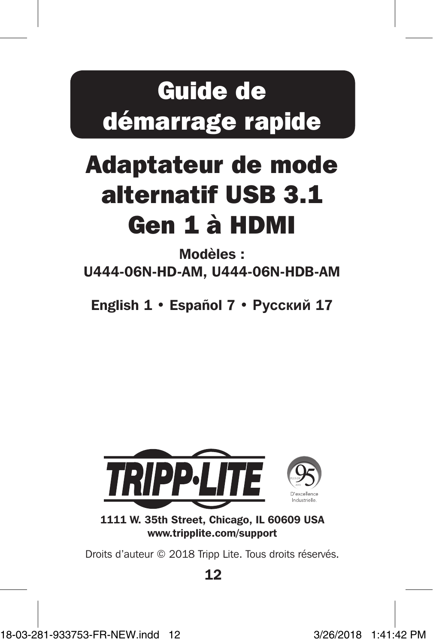# Guide de démarrage rapide

# Adaptateur de mode alternatif USB 3.1 Gen 1 à HDMI

Modèles : U444-06N-HD-AM, U444-06N-HDB-AM

English 1 • Español 7 • **Русский** 17



1111 W. 35th Street, Chicago, IL 60609 USA www.tripplite.com/support

Droits d'auteur © 2018 Tripp Lite. Tous droits réservés.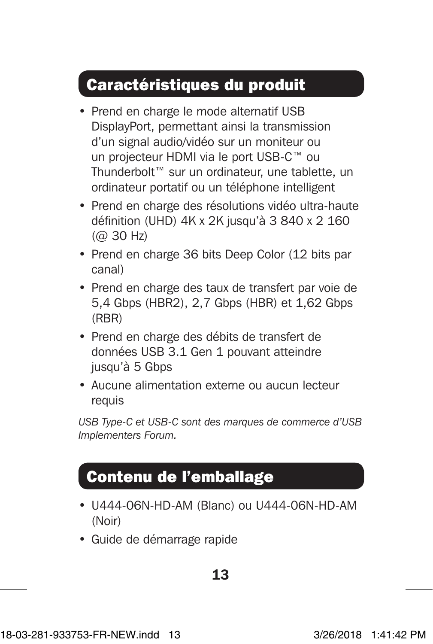## Caractéristiques du produit

- Prend en charge le mode alternatif USB DisplayPort, permettant ainsi la transmission d'un signal audio/vidéo sur un moniteur ou un projecteur HDMI via le port USB-C™ ou Thunderbolt™ sur un ordinateur, une tablette, un ordinateur portatif ou un téléphone intelligent
- Prend en charge des résolutions vidéo ultra-haute définition (UHD) 4K x 2K jusqu'à 3 840 x 2 160  $(QQ)$  30 Hz)
- Prend en charge 36 bits Deep Color (12 bits par canal)
- Prend en charge des taux de transfert par voie de 5,4 Gbps (HBR2), 2,7 Gbps (HBR) et 1,62 Gbps (RBR)
- Prend en charge des débits de transfert de données USB 3.1 Gen 1 pouvant atteindre jusqu'à 5 Gbps
- Aucune alimentation externe ou aucun lecteur requis

*USB Type-C et USB-C sont des marques de commerce d'USB Implementers Forum.*

# Contenu de l'emballage

- U444-06N-HD-AM (Blanc) ou U444-06N-HD-AM (Noir)
- Guide de démarrage rapide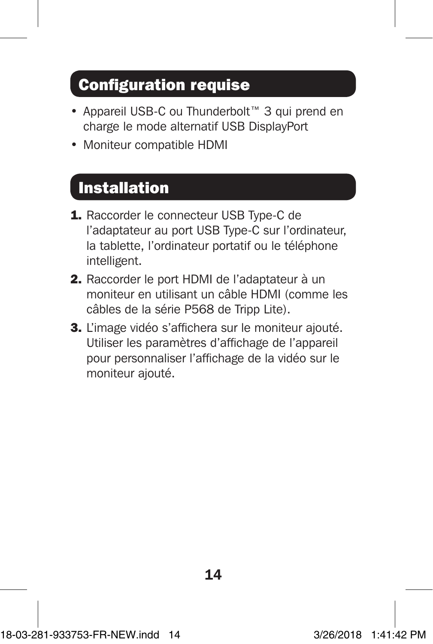# Configuration requise

- Appareil USB-C ou Thunderbolt™ 3 qui prend en charge le mode alternatif USB DisplayPort
- Moniteur compatible HDMI

## Installation

- 1. Raccorder le connecteur USB Type-C de l'adaptateur au port USB Type-C sur l'ordinateur, la tablette, l'ordinateur portatif ou le téléphone intelligent.
- 2. Raccorder le port HDMI de l'adaptateur à un moniteur en utilisant un câble HDMI (comme les câbles de la série P568 de Tripp Lite).
- 3. L'image vidéo s'affichera sur le moniteur ajouté. Utiliser les paramètres d'affichage de l'appareil pour personnaliser l'affichage de la vidéo sur le moniteur ajouté.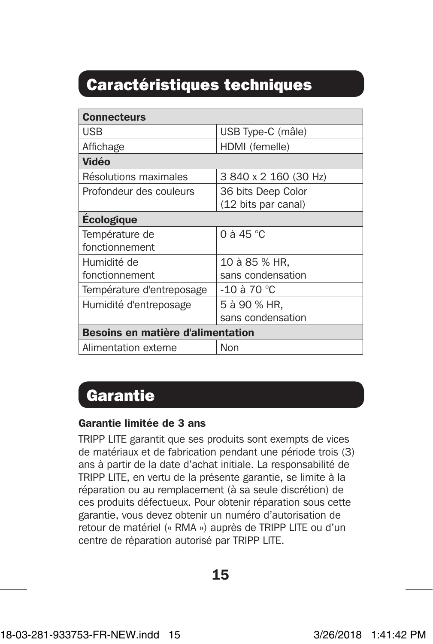# Caractéristiques techniques

| <b>Connecteurs</b>                |                       |  |
|-----------------------------------|-----------------------|--|
| <b>USB</b>                        | USB Type-C (mâle)     |  |
| Affichage                         | HDMI (femelle)        |  |
| Vidéo                             |                       |  |
| Résolutions maximales             | 3 840 x 2 160 (30 Hz) |  |
| Profondeur des couleurs           | 36 bits Deep Color    |  |
|                                   | (12 bits par canal)   |  |
| <b>Ecologique</b>                 |                       |  |
| Température de                    | 0 à 45 $^{\circ}$ C   |  |
| fonctionnement                    |                       |  |
| Humidité de                       | 10 à 85 % HR,         |  |
| fonctionnement                    | sans condensation     |  |
| Température d'entreposage         | -10 à 70 $^{\circ}$ C |  |
| Humidité d'entreposage            | 5 à 90 % HR.          |  |
|                                   | sans condensation     |  |
| Besoins en matière d'alimentation |                       |  |
| Alimentation externe              | Non                   |  |

### **Garantie**

#### Garantie limitée de 3 ans

TRIPP LITE garantit que ses produits sont exempts de vices de matériaux et de fabrication pendant une période trois (3) ans à partir de la date d'achat initiale. La responsabilité de TRIPP LITE, en vertu de la présente garantie, se limite à la réparation ou au remplacement (à sa seule discrétion) de ces produits défectueux. Pour obtenir réparation sous cette garantie, vous devez obtenir un numéro d'autorisation de retour de matériel (« RMA ») auprès de TRIPP LITE ou d'un centre de réparation autorisé par TRIPP LITE.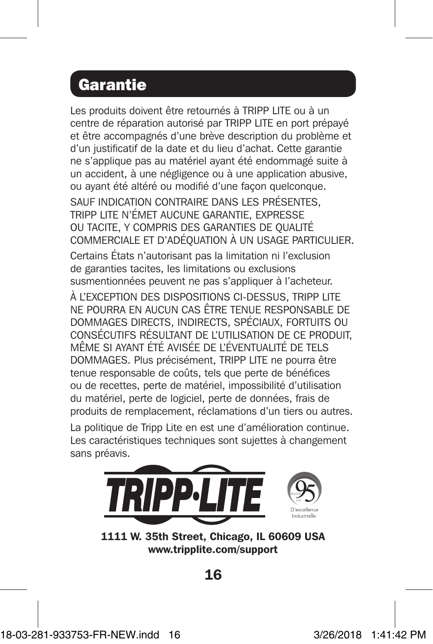### **Garantie**

Les produits doivent être retournés à TRIPP LITE ou à un centre de réparation autorisé par TRIPP LITE en port prépayé et être accompagnés d'une brève description du problème et d'un justificatif de la date et du lieu d'achat. Cette garantie ne s'applique pas au matériel ayant été endommagé suite à un accident, à une négligence ou à une application abusive, ou ayant été altéré ou modifié d'une façon quelconque. SAUF INDICATION CONTRAIRE DANS LES PRÉSENTES, TRIPP LITE N'ÉMET AUCUNE GARANTIE, EXPRESSE OU TACITE, Y COMPRIS DES GARANTIES DE QUALITÉ COMMERCIALE ET D'ADÉQUATION À UN USAGE PARTICULIER. Certains États n'autorisant pas la limitation ni l'exclusion de garanties tacites, les limitations ou exclusions susmentionnées peuvent ne pas s'appliquer à l'acheteur. À L'EXCEPTION DES DISPOSITIONS CI-DESSUS, TRIPP LITE NE POURRA EN AUCUN CAS ÊTRE TENUE RESPONSABLE DE DOMMAGES DIRECTS, INDIRECTS, SPÉCIAUX, FORTUITS OU CONSÉCUTIFS RÉSULTANT DE L'UTILISATION DE CE PRODUIT, MÊME SI AYANT ÉTÉ AVISÉE DE L'ÉVENTUALITÉ DE TELS DOMMAGES. Plus précisément, TRIPP LITE ne pourra être tenue responsable de coûts, tels que perte de bénéfices ou de recettes, perte de matériel, impossibilité d'utilisation du matériel, perte de logiciel, perte de données, frais de produits de remplacement, réclamations d'un tiers ou autres. La politique de Tripp Lite en est une d'amélioration continue. Les caractéristiques techniques sont sujettes à changement

sans préavis.



1111 W. 35th Street, Chicago, IL 60609 USA www.tripplite.com/support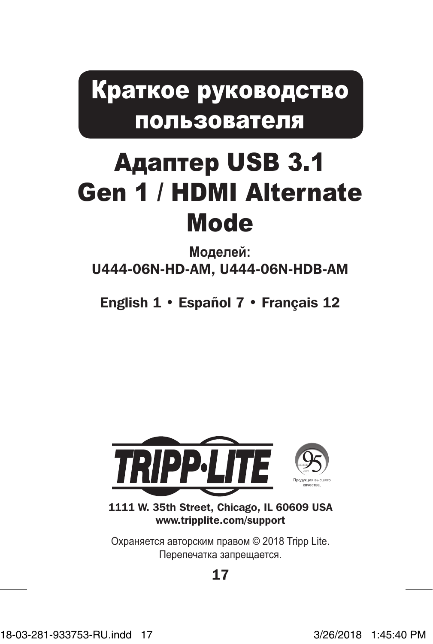Краткое руководство пользователя

# Адаптер USB 3.1 Gen 1 / HDMI Alternate Mode

**Mоделей:**  U444-06N-HD-AM, U444-06N-HDB-AM

English 1 • Español 7 • Français 12



1111 W. 35th Street, Chicago, IL 60609 USA www.tripplite.com/support

Охраняется авторским правом © 2018 Tripp Lite. Перепечатка запрещается.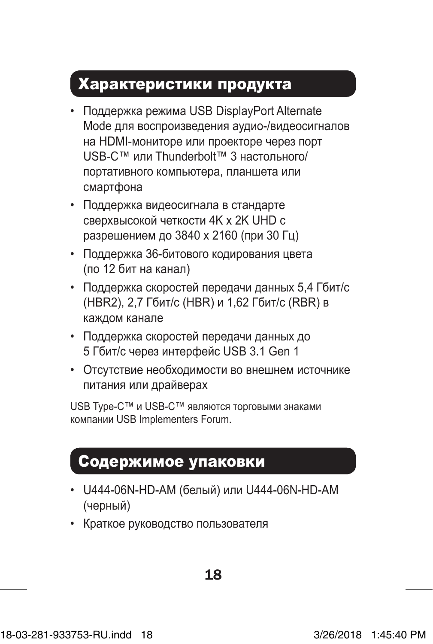## Характеристики продукта

- Поддержка режима USB DisplayPort Alternate Mode для воспроизведения аудио-/видеосигналов на HDMI-мониторе или проекторе через порт USB-C™ или Thunderbolt™ 3 настольного/ портативного компьютера, планшета или смартфона
- Поддержка видеосигнала в стандарте сверхвысокой четкости 4K x 2K UHD с разрешением до 3840 x 2160 (при 30 Гц)
- Поддержка 36-битового кодирования цвета (по 12 бит на канал)
- Поддержка скоростей передачи данных 5,4 Гбит/с (HBR2), 2,7 Гбит/с (HBR) и 1,62 Гбит/с (RBR) в каждом канале
- Поддержка скоростей передачи данных до 5 Гбит/с через интерфейс USB 3.1 Gen 1
- Отсутствие необходимости во внешнем источнике питания или драйверах

USB Type-C™ и USB-C™ являются торговыми знаками компании USB Implementers Forum.

## Содержимое упаковки

- U444-06N-HD-AM (белый) или U444-06N-HD-AM (черный)
- Краткое руководство пользователя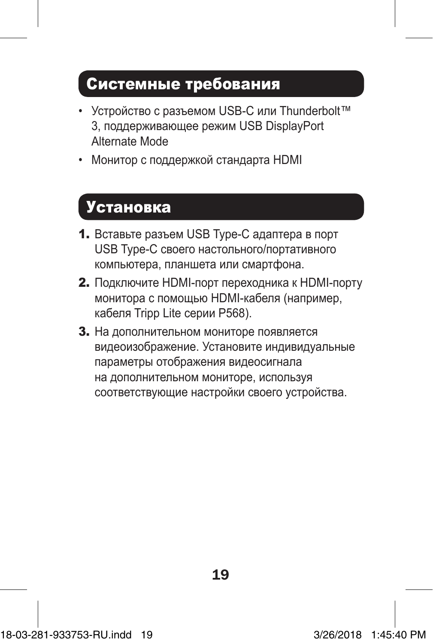### Системные требования

- Устройство с разъемом USB-С или Thunderbolt™ 3, поддерживающее режим USB DisplayPort Alternate Mode
- Монитор с поддержкой стандарта HDMI

## Установка

- 1. Вставьте разъем USB Type-C адаптера в порт USB Type-C своего настольного/портативного компьютера, планшета или смартфона.
- 2. Подключите HDMI-порт переходника к HDMI-порту монитора с помощью HDMI-кабеля (например, кабеля Tripp Lite серии P568).
- 3. На дополнительном мониторе появляется видеоизображение. Установите индивидуальные параметры отображения видеосигнала на дополнительном мониторе, используя соответствующие настройки своего устройства.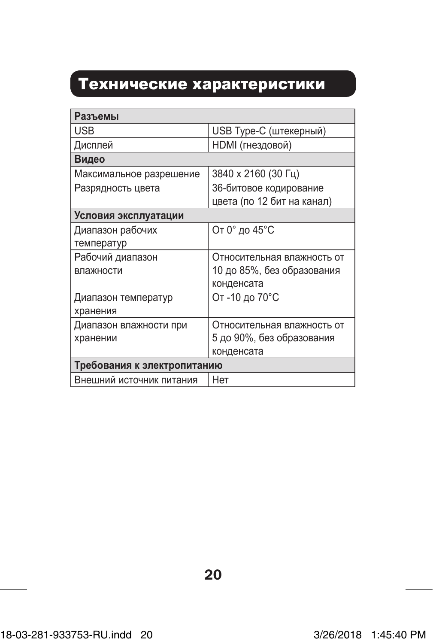# Технические характеристики

| Разъемы                       |                                                          |  |
|-------------------------------|----------------------------------------------------------|--|
| <b>USB</b>                    | USB Туре-С (штекерный)                                   |  |
| Дисплей                       | <b>НDMI</b> (гнездовой)                                  |  |
| Видео                         |                                                          |  |
| Максимальное разрешение       | 3840 x 2160 (30 Fu)                                      |  |
| Разрядность цвета             | 36-битовое кодирование<br>цвета (по 12 бит на канал)     |  |
| Условия эксплуатации          |                                                          |  |
| Диапазон рабочих              | От 0° до 45°С                                            |  |
| температур                    |                                                          |  |
| Рабочий диапазон<br>влажности | Относительная влажность от<br>10 до 85%, без образования |  |
|                               | конденсата                                               |  |
| Диапазон температур           | От -10 до 70°С                                           |  |
| хранения                      |                                                          |  |
| Диапазон влажности при        | Относительная влажность от                               |  |
| хранении                      | 5 до 90%, без образования                                |  |
|                               | конденсата                                               |  |
| Требования к электропитанию   |                                                          |  |
| Внешний источник питания      | Her                                                      |  |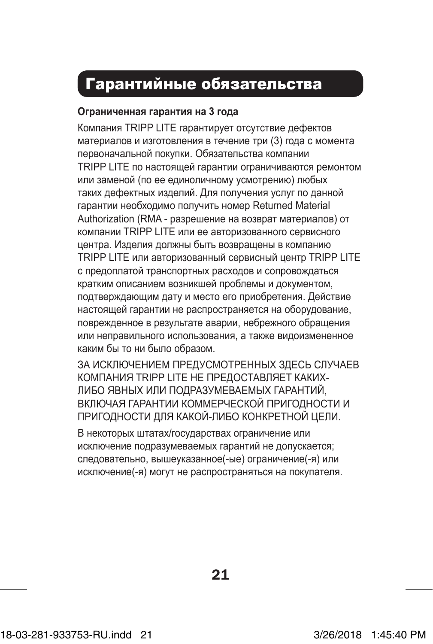# Гарантийные обязательства

#### **Ограниченная гарантия на 3 года**

Компания TRIPP LITE гарантирует отсутствие дефектов материалов и изготовления в течение три (3) года с момента первоначальной покупки. Обязательства компании TRIPP LITE по настоящей гарантии ограничиваются ремонтом или заменой (по ее единоличному усмотрению) любых таких дефектных изделий. Для получения услуг по данной гарантии необходимо получить номер Returned Material Authorization (RMA - разрешение на возврат материалов) от компании TRIPP LITE или ее авторизованного сервисного центра. Изделия должны быть возвращены в компанию TRIPP LITE или авторизованный сервисный центр TRIPP LITE с предоплатой транспортных расходов и сопровождаться кратким описанием возникшей проблемы и документом, подтверждающим дату и место его приобретения. Действие настоящей гарантии не распространяется на оборудование, поврежденное в результате аварии, небрежного обращения или неправильного использования, а также видоизмененное каким бы то ни было образом.

ЗА ИСКЛЮЧЕНИЕМ ПРЕДУСМОТРЕННЫХ ЗДЕСЬ СЛУЧАЕВ КОМПАНИЯ TRIPP LITE НЕ ПРЕДОСТАВЛЯЕТ КАКИХ-ЛИБО ЯВНЫХ ИЛИ ПОДРАЗУМЕВАЕМЫХ ГАРАНТИЙ, ВКЛЮЧАЯ ГАРАНТИИ КОММЕРЧЕСКОЙ ПРИГОДНОСТИ И ПРИГОДНОСТИ ДЛЯ КАКОЙ-ЛИБО КОНКРЕТНОЙ ЦЕЛИ.

В некоторых штатах/государствах ограничение или исключение подразумеваемых гарантий не допускается; следовательно, вышеуказанное(-ые) ограничение(-я) или исключение(-я) могут не распространяться на покупателя.